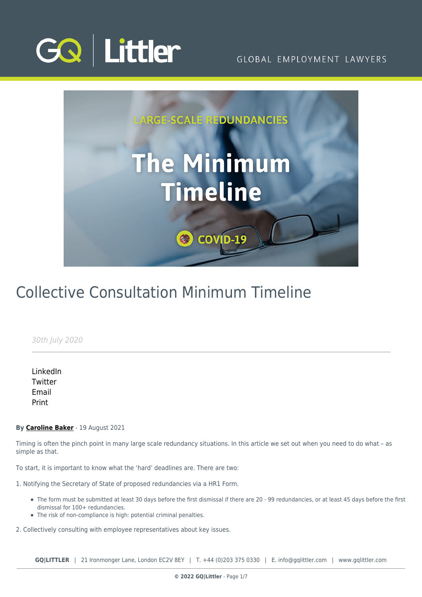



# Collective Consultation Minimum Timeline

30th July 2020

[LinkedIn](https://www.linkedin.com/shareArticle?mini=true&url=https%3A%2F%2Fwww.gqlittler.com%2Fresources%2Fnews-and-views%2Flarge-scale-redundancies-timeline.htm%3Funlock%3Dtrue&title=Collective+Consultation+Minimum+Timeline&summary=&source=GQ+%7C+Littler) **[Twitter](https://twitter.com/share?text=Collective+Consultation+Minimum+Timeline&url=https%3A%2F%2Fwww.gqlittler.com%2Fresources%2Fnews-and-views%2Flarge-scale-redundancies-timeline.htm&hashtags=)** [Email](mailto:?subject=Collective Consultation Minimum Timeline&body=I) [Print](https://www.bg-pdf.co.uk/_GQ/page.php?M=6148523063484d364c793933643363755a33467361585230624756794c6d4e76625339795a584e7664584a6a5a584d76626d563363793168626d5174646d6c6c64334d76624746795a32557463324e6862475574636d566b6457356b5957356a6157567a4c585270625756736157356c4c6d683062534e4149304e766247786c59335270646d55675132397563335673644746306157397549453170626d6c746457306756476c745a577870626d556a51434e7359584a6e5a53317a593246735a5331795a575231626d5268626d4e705a584d7464476c745a577870626d553d)

#### **By [Caroline Baker](https://www.gqlittler.com/about-us/the-team/caroline-baker)** - 19 August 2021

Timing is often the pinch point in many large scale redundancy situations. In this article we set out when you need to do what – as simple as that.

To start, it is important to know what the 'hard' deadlines are. There are two:

1. Notifying the Secretary of State of proposed redundancies via a HR1 Form.

- The form must be submitted at least 30 days before the first dismissal if there are 20 99 redundancies, or at least 45 days before the first dismissal for 100+ redundancies.
- The risk of non-compliance is high: potential criminal penalties.

2. Collectively consulting with employee representatives about key issues.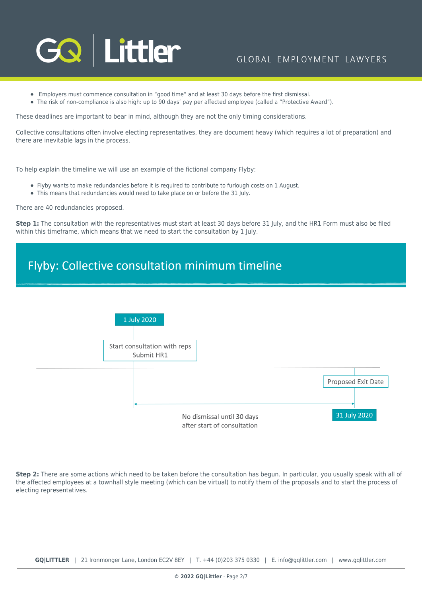

- Employers must commence consultation in "good time" and at least 30 days before the first dismissal.
- The risk of non-compliance is also high: up to 90 days' pay per affected employee (called a "Protective Award").

These deadlines are important to bear in mind, although they are not the only timing considerations.

Collective consultations often involve electing representatives, they are document heavy (which requires a lot of preparation) and there are inevitable lags in the process.

To help explain the timeline we will use an example of the fictional company Flyby:

- Flyby wants to make redundancies before it is required to contribute to furlough costs on 1 August.
- This means that redundancies would need to take place on or before the 31 July.

There are 40 redundancies proposed.

**Step 1:** The consultation with the representatives must start at least 30 days before 31 July, and the HR1 Form must also be filed within this timeframe, which means that we need to start the consultation by 1 July.

### Flyby: Collective consultation minimum timeline



**Step 2:** There are some actions which need to be taken before the consultation has begun. In particular, you usually speak with all of the affected employees at a townhall style meeting (which can be virtual) to notify them of the proposals and to start the process of electing representatives.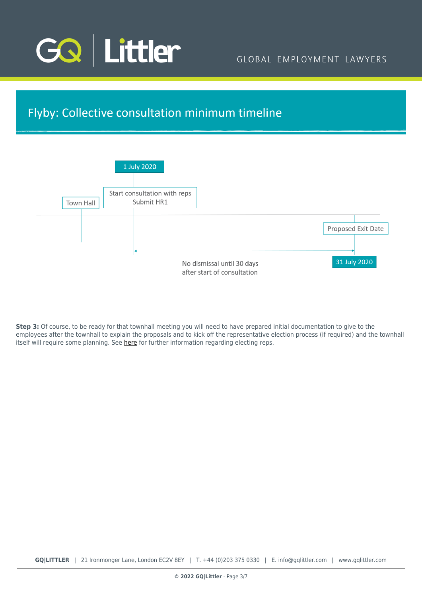

### Flyby: Collective consultation minimum timeline



**Step 3:** Of course, to be ready for that townhall meeting you will need to have prepared initial documentation to give to the employees after the townhall to explain the proposals and to kick off the representative election process (if required) and the townhall itself will require some planning. See [here](https://www.gqlittler.com/resources/news-and-views/large-scale-redundancies-election-of-employee-reps.htm) for further information regarding electing reps.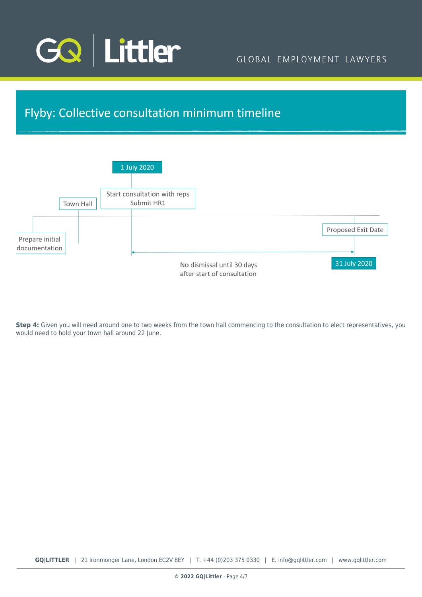

## Flyby: Collective consultation minimum timeline



**Step 4:** Given you will need around one to two weeks from the town hall commencing to the consultation to elect representatives, you would need to hold your town hall around 22 June.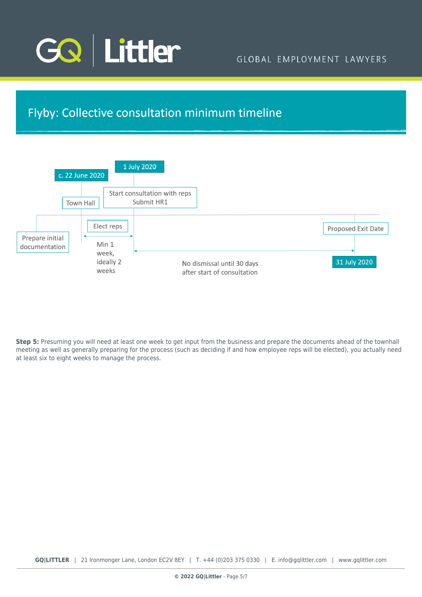

### Flyby: Collective consultation minimum timeline



**Step 5:** Presuming you will need at least one week to get input from the business and prepare the documents ahead of the townhall meeting as well as generally preparing for the process (such as deciding if and how employee reps will be elected), you actually need at least six to eight weeks to manage the process.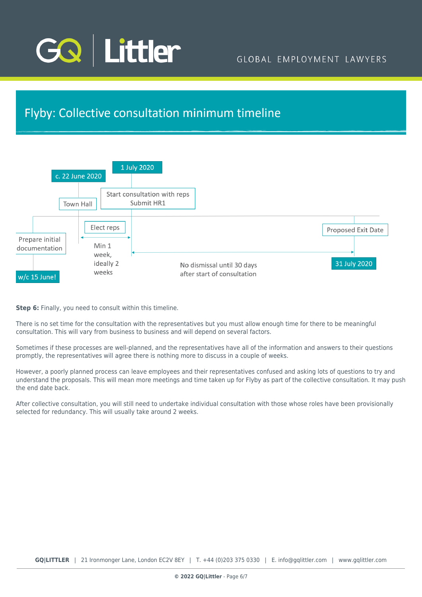

### Flyby: Collective consultation minimum timeline



**Step 6:** Finally, you need to consult within this timeline.

There is no set time for the consultation with the representatives but you must allow enough time for there to be meaningful consultation. This will vary from business to business and will depend on several factors.

Sometimes if these processes are well-planned, and the representatives have all of the information and answers to their questions promptly, the representatives will agree there is nothing more to discuss in a couple of weeks.

However, a poorly planned process can leave employees and their representatives confused and asking lots of questions to try and understand the proposals. This will mean more meetings and time taken up for Flyby as part of the collective consultation. It may push the end date back.

After collective consultation, you will still need to undertake individual consultation with those whose roles have been provisionally selected for redundancy. This will usually take around 2 weeks.